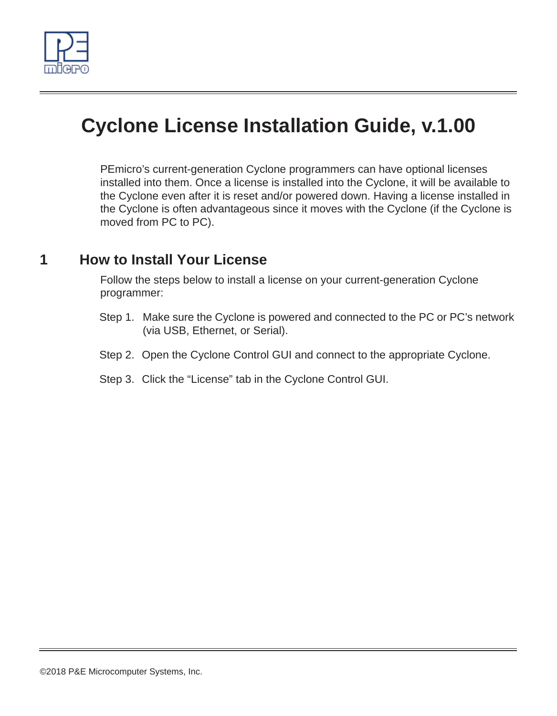

# **Cyclone License Installation Guide, v.1.00**

PEmicro's current-generation Cyclone programmers can have optional licenses installed into them. Once a license is installed into the Cyclone, it will be available to the Cyclone even after it is reset and/or powered down. Having a license installed in the Cyclone is often advantageous since it moves with the Cyclone (if the Cyclone is moved from PC to PC).

## **1 How to Install Your License**

Follow the steps below to install a license on your current-generation Cyclone programmer:

- Step 1. Make sure the Cyclone is powered and connected to the PC or PC's network (via USB, Ethernet, or Serial).
- Step 2. Open the Cyclone Control GUI and connect to the appropriate Cyclone.
- Step 3. Click the "License" tab in the Cyclone Control GUI.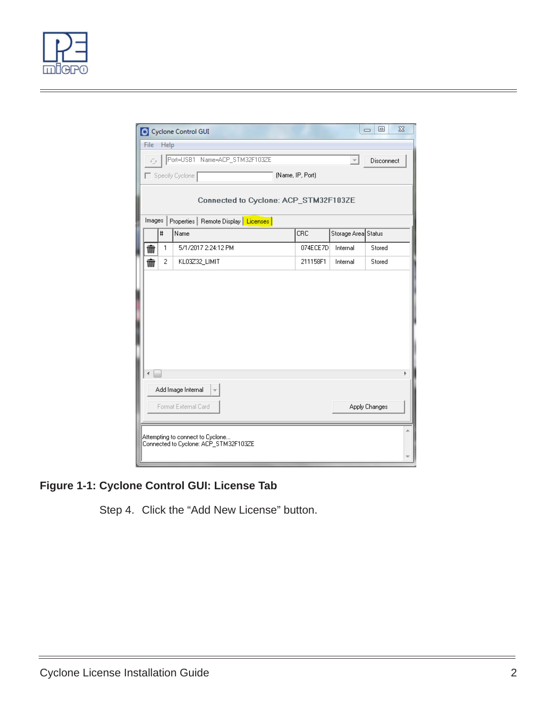

|                                                    |                                       | Cyclone Control GUI                   |  |          |                     | 回<br>$\Box$ | $\Sigma$ |
|----------------------------------------------------|---------------------------------------|---------------------------------------|--|----------|---------------------|-------------|----------|
| File<br>Help                                       |                                       |                                       |  |          |                     |             |          |
| Port=USB1 Name=ACP_STM32F103ZE<br>Disconnect<br>с, |                                       |                                       |  |          |                     |             |          |
|                                                    | (Name, IP, Port)<br>□ Specify Cyclone |                                       |  |          |                     |             |          |
| Connected to Cyclone: ACP_STM32F103ZE              |                                       |                                       |  |          |                     |             |          |
| Properties   Remote Display   Licenses  <br>Images |                                       |                                       |  |          |                     |             |          |
|                                                    | #                                     | Name                                  |  | CRC      | Storage Area Status |             |          |
| πŤ                                                 | 1                                     | 5/1/2017 2:24:12 PM                   |  | 074ECE7D | Internal            | Stored      |          |
| πĪπ                                                | $\overline{c}$                        | KL03Z32 LIMIT                         |  | 211158F1 | Internal            | Stored      |          |
|                                                    |                                       |                                       |  |          |                     |             |          |
|                                                    |                                       |                                       |  |          |                     |             |          |
|                                                    |                                       |                                       |  |          |                     |             |          |
|                                                    |                                       |                                       |  |          |                     |             |          |
|                                                    |                                       |                                       |  |          |                     |             |          |
|                                                    |                                       |                                       |  |          |                     |             |          |
|                                                    |                                       |                                       |  |          |                     |             |          |
|                                                    |                                       | Add Image Internal                    |  |          |                     |             |          |
| Format External Card<br>Apply Changes              |                                       |                                       |  |          |                     |             |          |
|                                                    |                                       |                                       |  |          |                     |             |          |
|                                                    |                                       | Attempting to connect to Cyclone      |  |          |                     |             |          |
|                                                    |                                       | Connected to Cyclone: ACP_STM32F103ZE |  |          |                     |             |          |
|                                                    |                                       |                                       |  |          |                     |             |          |

## **Figure 1-1: Cyclone Control GUI: License Tab**

Step 4. Click the "Add New License" button.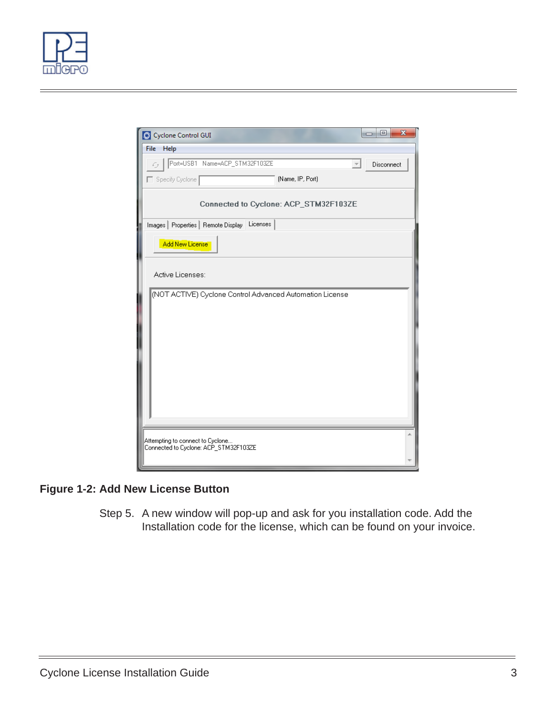



### **Figure 1-2: Add New License Button**

Step 5. A new window will pop-up and ask for you installation code. Add the Installation code for the license, which can be found on your invoice.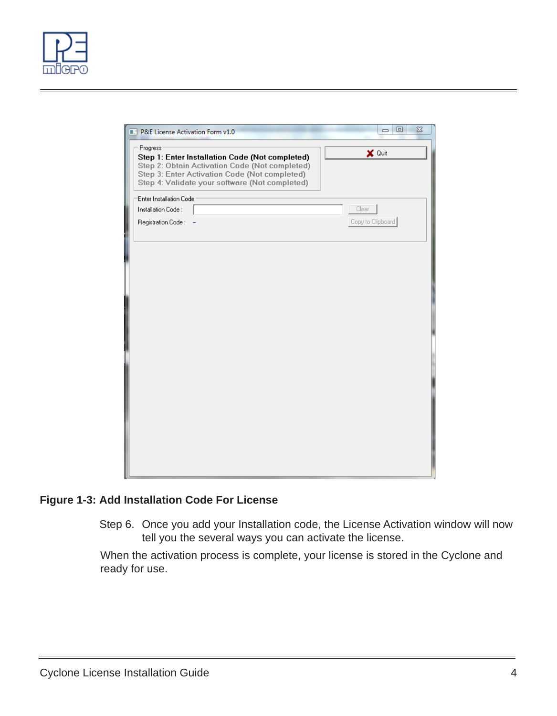

| P&E License Activation Form v1.0                                                                                                                                                                                 | $\qquad \qquad \Box$<br>$\Sigma$<br>$\qquad \qquad \Box$ |
|------------------------------------------------------------------------------------------------------------------------------------------------------------------------------------------------------------------|----------------------------------------------------------|
| Progress<br>Step 1: Enter Installation Code (Not completed)<br>Step 2: Obtain Activation Code (Not completed)<br>Step 3: Enter Activation Code (Not completed)<br>Step 4: Validate your software (Not completed) | X Quit                                                   |
| Enter Installation Code<br>Installation Code:<br>Registration Code:                                                                                                                                              | Clear<br>Copy to Clipboard                               |
|                                                                                                                                                                                                                  |                                                          |
|                                                                                                                                                                                                                  |                                                          |
|                                                                                                                                                                                                                  |                                                          |
|                                                                                                                                                                                                                  |                                                          |
|                                                                                                                                                                                                                  |                                                          |

#### **Figure 1-3: Add Installation Code For License**

Step 6. Once you add your Installation code, the License Activation window will now tell you the several ways you can activate the license.

When the activation process is complete, your license is stored in the Cyclone and ready for use.